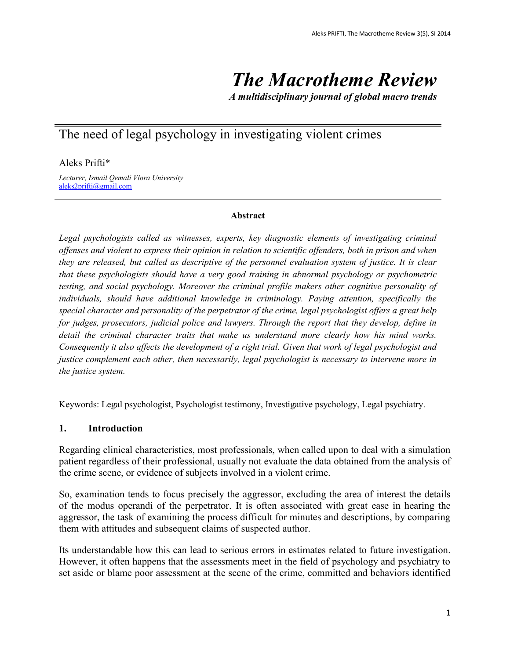# *The Macrotheme Review*

*A multidisciplinary journal of global macro trends*

# The need of legal psychology in investigating violent crimes

Aleks Prifti\*

*Lecturer, Ismail Qemali Vlora University* [aleks2prifti@gmail.com](mailto:aleks2prifti@gmail.com)

#### **Abstract**

*Legal psychologists called as witnesses, experts, key diagnostic elements of investigating criminal offenses and violent to express their opinion in relation to scientific offenders, both in prison and when they are released, but called as descriptive of the personnel evaluation system of justice. It is clear that these psychologists should have a very good training in abnormal psychology or psychometric testing, and social psychology. Moreover the criminal profile makers other cognitive personality of individuals, should have additional knowledge in criminology. Paying attention, specifically the special character and personality of the perpetrator of the crime, legal psychologist offers a great help for judges, prosecutors, judicial police and lawyers. Through the report that they develop, define in detail the criminal character traits that make us understand more clearly how his mind works. Consequently it also affects the development of a right trial. Given that work of legal psychologist and justice complement each other, then necessarily, legal psychologist is necessary to intervene more in the justice system.*

Keywords: Legal psychologist, Psychologist testimony, Investigative psychology, Legal psychiatry.

#### **1. Introduction**

Regarding clinical characteristics, most professionals, when called upon to deal with a simulation patient regardless of their professional, usually not evaluate the data obtained from the analysis of the crime scene, or evidence of subjects involved in a violent crime.

So, examination tends to focus precisely the aggressor, excluding the area of interest the details of the modus operandi of the perpetrator. It is often associated with great ease in hearing the aggressor, the task of examining the process difficult for minutes and descriptions, by comparing them with attitudes and subsequent claims of suspected author.

Its understandable how this can lead to serious errors in estimates related to future investigation. However, it often happens that the assessments meet in the field of psychology and psychiatry to set aside or blame poor assessment at the scene of the crime, committed and behaviors identified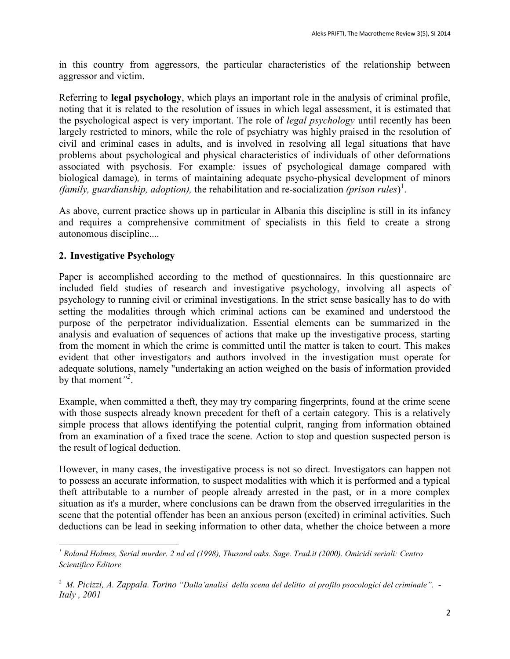in this country from aggressors, the particular characteristics of the relationship between aggressor and victim.

Referring to **legal psychology**, which plays an important role in the analysis of criminal profile, noting that it is related to the resolution of issues in which legal assessment, it is estimated that the psychological aspect is very important. The role of *legal psychology* until recently has been largely restricted to minors, while the role of psychiatry was highly praised in the resolution of civil and criminal cases in adults, and is involved in resolving all legal situations that have problems about psychological and physical characteristics of individuals of other deformations associated with psychosis. For example*:* issues of psychological damage compared with biological damage)*,* in terms of maintaining adequate psycho-physical development of minors *(family, guardianship, adoption),* the rehabilitation and re-socialization *(prison rules*) 1 .

As above, current practice shows up in particular in Albania this discipline is still in its infancy and requires a comprehensive commitment of specialists in this field to create a strong autonomous discipline....

## **2. Investigative Psychology**

Paper is accomplished according to the method of questionnaires. In this questionnaire are included field studies of research and investigative psychology, involving all aspects of psychology to running civil or criminal investigations. In the strict sense basically has to do with setting the modalities through which criminal actions can be examined and understood the purpose of the perpetrator individualization. Essential elements can be summarized in the analysis and evaluation of sequences of actions that make up the investigative process, starting from the moment in which the crime is committed until the matter is taken to court. This makes evident that other investigators and authors involved in the investigation must operate for adequate solutions, namely "undertaking an action weighed on the basis of information provided by that moment*" 2* .

Example, when committed a theft, they may try comparing fingerprints, found at the crime scene with those suspects already known precedent for theft of a certain category. This is a relatively simple process that allows identifying the potential culprit, ranging from information obtained from an examination of a fixed trace the scene. Action to stop and question suspected person is the result of logical deduction.

However, in many cases, the investigative process is not so direct. Investigators can happen not to possess an accurate information, to suspect modalities with which it is performed and a typical theft attributable to a number of people already arrested in the past, or in a more complex situation as it's a murder, where conclusions can be drawn from the observed irregularities in the scene that the potential offender has been an anxious person (excited) in criminal activities. Such deductions can be lead in seeking information to other data, whether the choice between a more

 $\overline{a}$ *<sup>1</sup> Roland Holmes, Serial murder. 2 nd ed (1998), Thusand oaks. Sage. Trad.it (2000). Omicidi seriali: Centro Scientifico Editore*

<sup>2</sup> *M. Picizzi, A. Zappala. Torino "Dalla'analisi della scena del delitto al profilo psocologici del criminale". - Italy , 2001*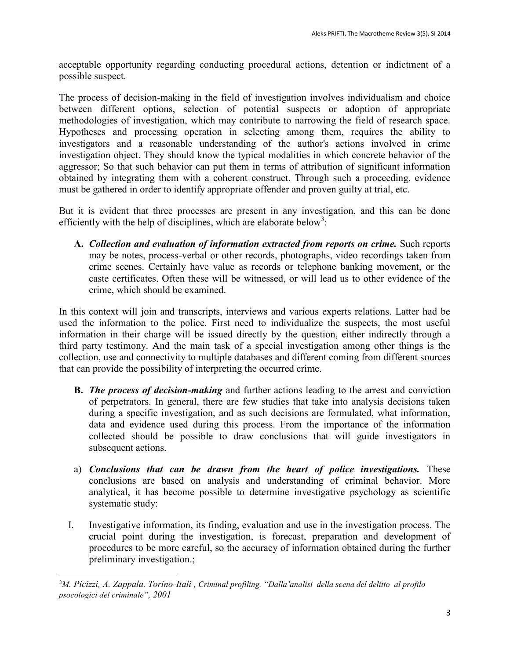acceptable opportunity regarding conducting procedural actions, detention or indictment of a possible suspect.

The process of decision-making in the field of investigation involves individualism and choice between different options, selection of potential suspects or adoption of appropriate methodologies of investigation, which may contribute to narrowing the field of research space. Hypotheses and processing operation in selecting among them, requires the ability to investigators and a reasonable understanding of the author's actions involved in crime investigation object. They should know the typical modalities in which concrete behavior of the aggressor; So that such behavior can put them in terms of attribution of significant information obtained by integrating them with a coherent construct. Through such a proceeding, evidence must be gathered in order to identify appropriate offender and proven guilty at trial, etc.

But it is evident that three processes are present in any investigation, and this can be done efficiently with the help of disciplines, which are elaborate below<sup>3</sup>:

**A.** *Collection and evaluation of information extracted from reports on crime.* Such reports may be notes, process-verbal or other records, photographs, video recordings taken from crime scenes. Certainly have value as records or telephone banking movement, or the caste certificates. Often these will be witnessed, or will lead us to other evidence of the crime, which should be examined.

In this context will join and transcripts, interviews and various experts relations. Latter had be used the information to the police. First need to individualize the suspects, the most useful information in their charge will be issued directly by the question, either indirectly through a third party testimony. And the main task of a special investigation among other things is the collection, use and connectivity to multiple databases and different coming from different sources that can provide the possibility of interpreting the occurred crime.

- **B.** *The process of decision-making* and further actions leading to the arrest and conviction of perpetrators. In general, there are few studies that take into analysis decisions taken during a specific investigation, and as such decisions are formulated, what information, data and evidence used during this process. From the importance of the information collected should be possible to draw conclusions that will guide investigators in subsequent actions.
- a) *Conclusions that can be drawn from the heart of police investigations.* These conclusions are based on analysis and understanding of criminal behavior. More analytical, it has become possible to determine investigative psychology as scientific systematic study:
- I. Investigative information, its finding, evaluation and use in the investigation process. The crucial point during the investigation, is forecast, preparation and development of procedures to be more careful, so the accuracy of information obtained during the further preliminary investigation.;

 $\overline{a}$ 

<sup>3</sup>*M. Picizzi, A. Zappala. Torino-Itali , Criminal profiling. "Dalla'analisi della scena del delitto al profilo psocologici del criminale", 2001*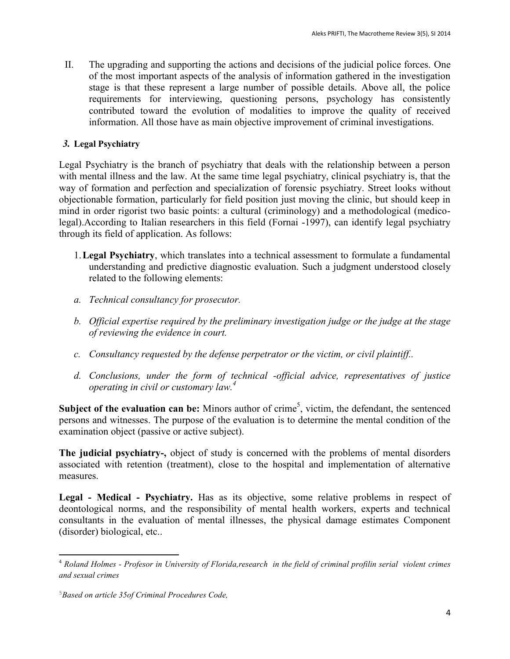II. The upgrading and supporting the actions and decisions of the judicial police forces. One of the most important aspects of the analysis of information gathered in the investigation stage is that these represent a large number of possible details. Above all, the police requirements for interviewing, questioning persons, psychology has consistently contributed toward the evolution of modalities to improve the quality of received information. All those have as main objective improvement of criminal investigations.

#### *3.* **Legal Psychiatry**

Legal Psychiatry is the branch of psychiatry that deals with the relationship between a person with mental illness and the law. At the same time legal psychiatry, clinical psychiatry is, that the way of formation and perfection and specialization of forensic psychiatry. Street looks without objectionable formation, particularly for field position just moving the clinic, but should keep in mind in order rigorist two basic points: a cultural (criminology) and a methodological (medicolegal).According to Italian researchers in this field (Fornai -1997), can identify legal psychiatry through its field of application. As follows:

- 1.**Legal Psychiatry**, which translates into a technical assessment to formulate a fundamental understanding and predictive diagnostic evaluation. Such a judgment understood closely related to the following elements:
- *a. Technical consultancy for prosecutor.*
- *b. Official expertise required by the preliminary investigation judge or the judge at the stage of reviewing the evidence in court.*
- *c. Consultancy requested by the defense perpetrator or the victim, or civil plaintiff..*
- *d. Conclusions, under the form of technical -official advice, representatives of justice operating in civil or customary law.<sup>4</sup>*

**Subject of the evaluation can be:** Minors author of crime<sup>5</sup>, victim, the defendant, the sentenced persons and witnesses. The purpose of the evaluation is to determine the mental condition of the examination object (passive or active subject).

**The judicial psychiatry-,** object of study is concerned with the problems of mental disorders associated with retention (treatment), close to the hospital and implementation of alternative measures.

**Legal - Medical - Psychiatry.** Has as its objective, some relative problems in respect of deontological norms, and the responsibility of mental health workers, experts and technical consultants in the evaluation of mental illnesses, the physical damage estimates Component (disorder) biological, etc..

 $\overline{a}$ 

<sup>4</sup> *Roland Holmes - Profesor in University of Florida,research in the field of criminal profilin serial violent crimes and sexual crimes*

<sup>5</sup>*Based on article 35of Criminal Procedures Code,*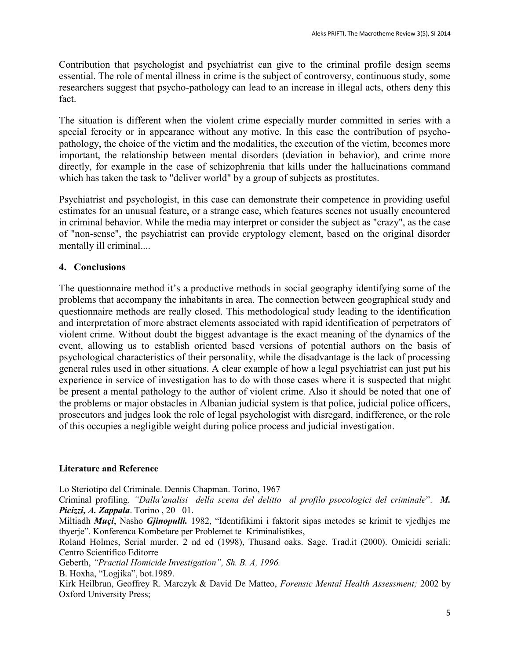Contribution that psychologist and psychiatrist can give to the criminal profile design seems essential. The role of mental illness in crime is the subject of controversy, continuous study, some researchers suggest that psycho-pathology can lead to an increase in illegal acts, others deny this fact.

The situation is different when the violent crime especially murder committed in series with a special ferocity or in appearance without any motive. In this case the contribution of psychopathology, the choice of the victim and the modalities, the execution of the victim, becomes more important, the relationship between mental disorders (deviation in behavior), and crime more directly, for example in the case of schizophrenia that kills under the hallucinations command which has taken the task to "deliver world" by a group of subjects as prostitutes.

Psychiatrist and psychologist, in this case can demonstrate their competence in providing useful estimates for an unusual feature, or a strange case, which features scenes not usually encountered in criminal behavior. While the media may interpret or consider the subject as "crazy", as the case of "non-sense", the psychiatrist can provide cryptology element, based on the original disorder mentally ill criminal....

## **4. Conclusions**

The questionnaire method it's a productive methods in social geography identifying some of the problems that accompany the inhabitants in area. The connection between geographical study and questionnaire methods are really closed. This methodological study leading to the identification and interpretation of more abstract elements associated with rapid identification of perpetrators of violent crime. Without doubt the biggest advantage is the exact meaning of the dynamics of the event, allowing us to establish oriented based versions of potential authors on the basis of psychological characteristics of their personality, while the disadvantage is the lack of processing general rules used in other situations. A clear example of how a legal psychiatrist can just put his experience in service of investigation has to do with those cases where it is suspected that might be present a mental pathology to the author of violent crime. Also it should be noted that one of the problems or major obstacles in Albanian judicial system is that police, judicial police officers, prosecutors and judges look the role of legal psychologist with disregard, indifference, or the role of this occupies a negligible weight during police process and judicial investigation.

#### **Literature and Reference**

Lo Steriotipo del Criminale. Dennis Chapman. Torino, 1967 Criminal profiling. *"Dalla'analisi della scena del delitto al profilo psocologici del criminale*". *M. Picizzi, A. Zappala*. Torino , 20 01. Miltiadh *Muçi*, Nasho *Gjinopulli.* 1982, "Identifikimi i faktorit sipas metodes se krimit te vjedhjes me thyerje". Konferenca Kombetare per Problemet te Kriminalistikes, Roland Holmes, Serial murder. 2 nd ed (1998), Thusand oaks. Sage. Trad.it (2000). Omicidi seriali: Centro Scientifico Editorre Geberth, *"Practial Homicide Investigation", Sh. B. A, 1996.* B. Hoxha, "Logjika", bot.1989. Kirk Heilbrun, Geoffrey R. Marczyk & David De Matteo, *Forensic Mental Health Assessment;* 2002 by Oxford University Press;